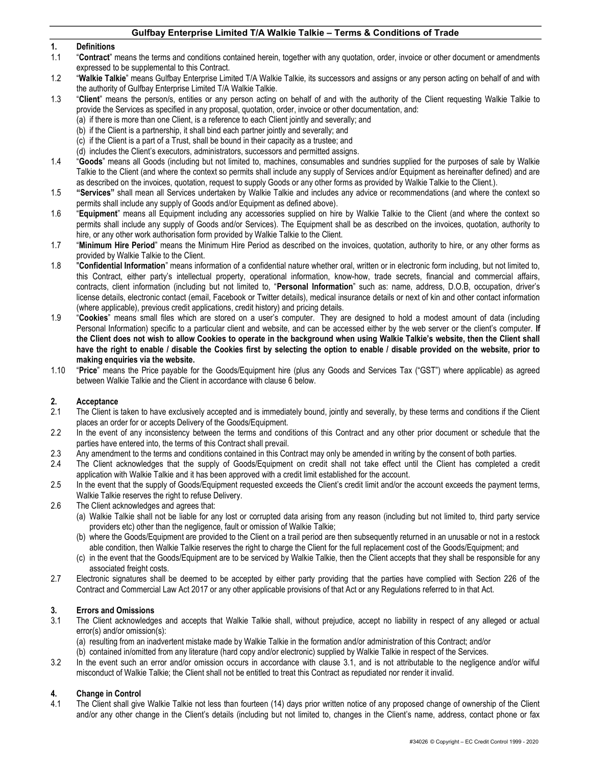#### 1. Definitions

- 1.1 "Contract" means the terms and conditions contained herein, together with any quotation, order, invoice or other document or amendments expressed to be supplemental to this Contract.
- 1.2 "Walkie Talkie" means Gulfbay Enterprise Limited T/A Walkie Talkie, its successors and assigns or any person acting on behalf of and with the authority of Gulfbay Enterprise Limited T/A Walkie Talkie.
- 1.3 "Client" means the person/s, entities or any person acting on behalf of and with the authority of the Client requesting Walkie Talkie to provide the Services as specified in any proposal, quotation, order, invoice or other documentation, and:
	- (a) if there is more than one Client, is a reference to each Client jointly and severally; and
	- (b) if the Client is a partnership, it shall bind each partner jointly and severally; and
	- (c) if the Client is a part of a Trust, shall be bound in their capacity as a trustee; and
	- (d) includes the Client's executors, administrators, successors and permitted assigns.
- 1.4 "Goods" means all Goods (including but not limited to, machines, consumables and sundries supplied for the purposes of sale by Walkie Talkie to the Client (and where the context so permits shall include any supply of Services and/or Equipment as hereinafter defined) and are as described on the invoices, quotation, request to supply Goods or any other forms as provided by Walkie Talkie to the Client.).
- 1.5 "Services" shall mean all Services undertaken by Walkie Talkie and includes any advice or recommendations (and where the context so permits shall include any supply of Goods and/or Equipment as defined above).
- 1.6 "Equipment" means all Equipment including any accessories supplied on hire by Walkie Talkie to the Client (and where the context so permits shall include any supply of Goods and/or Services). The Equipment shall be as described on the invoices, quotation, authority to hire, or any other work authorisation form provided by Walkie Talkie to the Client.
- 1.7 "Minimum Hire Period" means the Minimum Hire Period as described on the invoices, quotation, authority to hire, or any other forms as provided by Walkie Talkie to the Client.
- 1.8 "Confidential Information" means information of a confidential nature whether oral, written or in electronic form including, but not limited to, this Contract, either party's intellectual property, operational information, know-how, trade secrets, financial and commercial affairs, contracts, client information (including but not limited to, "Personal Information" such as: name, address, D.O.B, occupation, driver's license details, electronic contact (email, Facebook or Twitter details), medical insurance details or next of kin and other contact information (where applicable), previous credit applications, credit history) and pricing details.
- 1.9 "Cookies" means small files which are stored on a user's computer. They are designed to hold a modest amount of data (including Personal Information) specific to a particular client and website, and can be accessed either by the web server or the client's computer. If the Client does not wish to allow Cookies to operate in the background when using Walkie Talkie's website, then the Client shall have the right to enable / disable the Cookies first by selecting the option to enable / disable provided on the website, prior to making enquiries via the website.
- 1.10 "Price" means the Price payable for the Goods/Equipment hire (plus any Goods and Services Tax ("GST") where applicable) as agreed between Walkie Talkie and the Client in accordance with clause 6 below.

#### 2. Acceptance

- 2.1 The Client is taken to have exclusively accepted and is immediately bound, jointly and severally, by these terms and conditions if the Client places an order for or accepts Delivery of the Goods/Equipment.
- 2.2 In the event of any inconsistency between the terms and conditions of this Contract and any other prior document or schedule that the parties have entered into, the terms of this Contract shall prevail.
- 2.3 Any amendment to the terms and conditions contained in this Contract may only be amended in writing by the consent of both parties.
- 2.4 The Client acknowledges that the supply of Goods/Equipment on credit shall not take effect until the Client has completed a credit application with Walkie Talkie and it has been approved with a credit limit established for the account.
- 2.5 In the event that the supply of Goods/Equipment requested exceeds the Client's credit limit and/or the account exceeds the payment terms, Walkie Talkie reserves the right to refuse Delivery.
- 2.6 The Client acknowledges and agrees that:
	- (a) Walkie Talkie shall not be liable for any lost or corrupted data arising from any reason (including but not limited to, third party service providers etc) other than the negligence, fault or omission of Walkie Talkie;
	- (b) where the Goods/Equipment are provided to the Client on a trail period are then subsequently returned in an unusable or not in a restock able condition, then Walkie Talkie reserves the right to charge the Client for the full replacement cost of the Goods/Equipment; and
	- (c) in the event that the Goods/Equipment are to be serviced by Walkie Talkie, then the Client accepts that they shall be responsible for any associated freight costs.
- 2.7 Electronic signatures shall be deemed to be accepted by either party providing that the parties have complied with Section 226 of the Contract and Commercial Law Act 2017 or any other applicable provisions of that Act or any Regulations referred to in that Act.

#### 3. Errors and Omissions

- 3.1 The Client acknowledges and accepts that Walkie Talkie shall, without prejudice, accept no liability in respect of any alleged or actual error(s) and/or omission(s):
	- (a) resulting from an inadvertent mistake made by Walkie Talkie in the formation and/or administration of this Contract; and/or
	- (b) contained in/omitted from any literature (hard copy and/or electronic) supplied by Walkie Talkie in respect of the Services.
- 3.2 In the event such an error and/or omission occurs in accordance with clause 3.1, and is not attributable to the negligence and/or wilful misconduct of Walkie Talkie; the Client shall not be entitled to treat this Contract as repudiated nor render it invalid.

#### 4. Change in Control

4.1 The Client shall give Walkie Talkie not less than fourteen (14) days prior written notice of any proposed change of ownership of the Client and/or any other change in the Client's details (including but not limited to, changes in the Client's name, address, contact phone or fax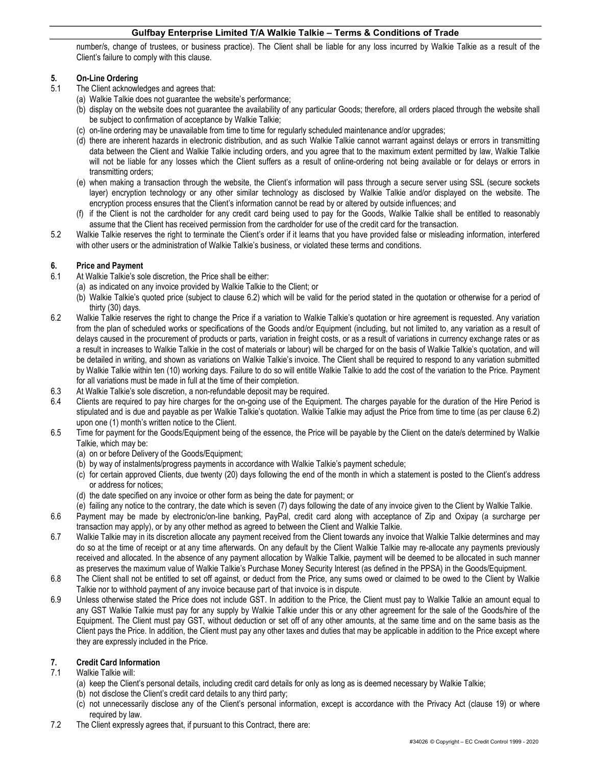number/s, change of trustees, or business practice). The Client shall be liable for any loss incurred by Walkie Talkie as a result of the Client's failure to comply with this clause.

# 5. On-Line Ordering

- 5.1 The Client acknowledges and agrees that:
	- (a) Walkie Talkie does not guarantee the website's performance;
	- (b) display on the website does not guarantee the availability of any particular Goods; therefore, all orders placed through the website shall be subject to confirmation of acceptance by Walkie Talkie;
	- (c) on-line ordering may be unavailable from time to time for regularly scheduled maintenance and/or upgrades;
	- (d) there are inherent hazards in electronic distribution, and as such Walkie Talkie cannot warrant against delays or errors in transmitting data between the Client and Walkie Talkie including orders, and you agree that to the maximum extent permitted by law, Walkie Talkie will not be liable for any losses which the Client suffers as a result of online-ordering not being available or for delays or errors in transmitting orders;
	- (e) when making a transaction through the website, the Client's information will pass through a secure server using SSL (secure sockets layer) encryption technology or any other similar technology as disclosed by Walkie Talkie and/or displayed on the website. The encryption process ensures that the Client's information cannot be read by or altered by outside influences; and
	- (f) if the Client is not the cardholder for any credit card being used to pay for the Goods, Walkie Talkie shall be entitled to reasonably assume that the Client has received permission from the cardholder for use of the credit card for the transaction.
- 5.2 Walkie Talkie reserves the right to terminate the Client's order if it learns that you have provided false or misleading information, interfered with other users or the administration of Walkie Talkie's business, or violated these terms and conditions.

# 6. Price and Payment<br>6.1 At Walkie Talkie's so

- At Walkie Talkie's sole discretion, the Price shall be either:
	- (a) as indicated on any invoice provided by Walkie Talkie to the Client; or
	- (b) Walkie Talkie's quoted price (subject to clause 6.2) which will be valid for the period stated in the quotation or otherwise for a period of thirty (30) days.
- 6.2 Walkie Talkie reserves the right to change the Price if a variation to Walkie Talkie's quotation or hire agreement is requested. Any variation from the plan of scheduled works or specifications of the Goods and/or Equipment (including, but not limited to, any variation as a result of delays caused in the procurement of products or parts, variation in freight costs, or as a result of variations in currency exchange rates or as a result in increases to Walkie Talkie in the cost of materials or labour) will be charged for on the basis of Walkie Talkie's quotation, and will be detailed in writing, and shown as variations on Walkie Talkie's invoice. The Client shall be required to respond to any variation submitted by Walkie Talkie within ten (10) working days. Failure to do so will entitle Walkie Talkie to add the cost of the variation to the Price. Payment for all variations must be made in full at the time of their completion.
- 6.3 At Walkie Talkie's sole discretion, a non-refundable deposit may be required.
- 6.4 Clients are required to pay hire charges for the on-going use of the Equipment. The charges payable for the duration of the Hire Period is stipulated and is due and payable as per Walkie Talkie's quotation. Walkie Talkie may adjust the Price from time to time (as per clause 6.2) upon one (1) month's written notice to the Client.
- 6.5 Time for payment for the Goods/Equipment being of the essence, the Price will be payable by the Client on the date/s determined by Walkie Talkie, which may be:
	- (a) on or before Delivery of the Goods/Equipment;
	- (b) by way of instalments/progress payments in accordance with Walkie Talkie's payment schedule;
	- (c) for certain approved Clients, due twenty (20) days following the end of the month in which a statement is posted to the Client's address or address for notices;
	- (d) the date specified on any invoice or other form as being the date for payment; or
	- (e) failing any notice to the contrary, the date which is seven (7) days following the date of any invoice given to the Client by Walkie Talkie.
- 6.6 Payment may be made by electronic/on-line banking, PayPal, credit card along with acceptance of Zip and Oxipay (a surcharge per transaction may apply), or by any other method as agreed to between the Client and Walkie Talkie.
- 6.7 Walkie Talkie may in its discretion allocate any payment received from the Client towards any invoice that Walkie Talkie determines and may do so at the time of receipt or at any time afterwards. On any default by the Client Walkie Talkie may re-allocate any payments previously received and allocated. In the absence of any payment allocation by Walkie Talkie, payment will be deemed to be allocated in such manner as preserves the maximum value of Walkie Talkie's Purchase Money Security Interest (as defined in the PPSA) in the Goods/Equipment.
- 6.8 The Client shall not be entitled to set off against, or deduct from the Price, any sums owed or claimed to be owed to the Client by Walkie Talkie nor to withhold payment of any invoice because part of that invoice is in dispute.
- 6.9 Unless otherwise stated the Price does not include GST. In addition to the Price, the Client must pay to Walkie Talkie an amount equal to any GST Walkie Talkie must pay for any supply by Walkie Talkie under this or any other agreement for the sale of the Goods/hire of the Equipment. The Client must pay GST, without deduction or set off of any other amounts, at the same time and on the same basis as the Client pays the Price. In addition, the Client must pay any other taxes and duties that may be applicable in addition to the Price except where they are expressly included in the Price.

# 7. Credit Card Information

- 7.1 Walkie Talkie will:
	- (a) keep the Client's personal details, including credit card details for only as long as is deemed necessary by Walkie Talkie;
	- (b) not disclose the Client's credit card details to any third party;
	- (c) not unnecessarily disclose any of the Client's personal information, except is accordance with the Privacy Act (clause 19) or where required by law.
- 7.2 The Client expressly agrees that, if pursuant to this Contract, there are: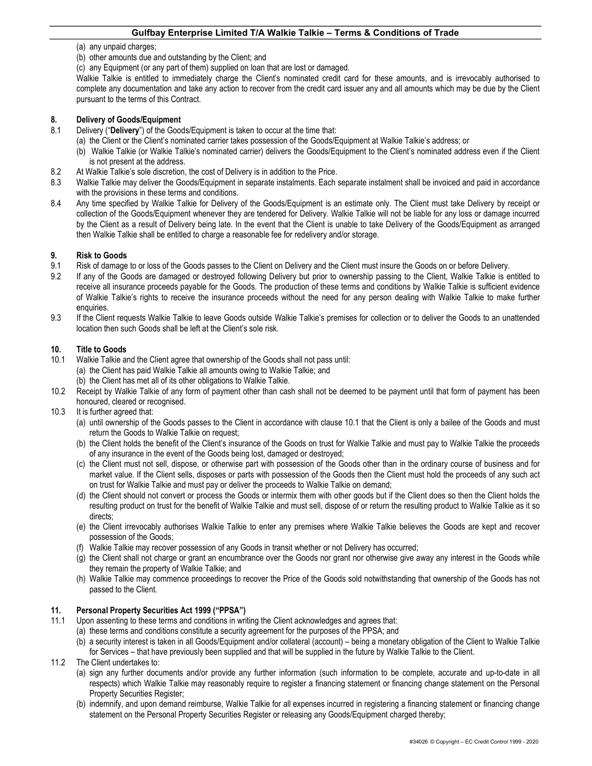- (a) any unpaid charges;
- (b) other amounts due and outstanding by the Client; and

(c) any Equipment (or any part of them) supplied on loan that are lost or damaged.

Walkie Talkie is entitled to immediately charge the Client's nominated credit card for these amounts, and is irrevocably authorised to complete any documentation and take any action to recover from the credit card issuer any and all amounts which may be due by the Client pursuant to the terms of this Contract.

## 8. Delivery of Goods/Equipment

- 8.1 Delivery ("Delivery") of the Goods/Equipment is taken to occur at the time that:
	- (a) the Client or the Client's nominated carrier takes possession of the Goods/Equipment at Walkie Talkie's address; or
	- (b) Walkie Talkie (or Walkie Talkie's nominated carrier) delivers the Goods/Equipment to the Client's nominated address even if the Client is not present at the address.
- 8.2 At Walkie Talkie's sole discretion, the cost of Delivery is in addition to the Price.
- 8.3 Walkie Talkie may deliver the Goods/Equipment in separate instalments. Each separate instalment shall be invoiced and paid in accordance with the provisions in these terms and conditions.
- 8.4 Any time specified by Walkie Talkie for Delivery of the Goods/Equipment is an estimate only. The Client must take Delivery by receipt or collection of the Goods/Equipment whenever they are tendered for Delivery. Walkie Talkie will not be liable for any loss or damage incurred by the Client as a result of Delivery being late. In the event that the Client is unable to take Delivery of the Goods/Equipment as arranged then Walkie Talkie shall be entitled to charge a reasonable fee for redelivery and/or storage.

## 9. Risk to Goods

- 9.1 Risk of damage to or loss of the Goods passes to the Client on Delivery and the Client must insure the Goods on or before Delivery.
- 9.2 If any of the Goods are damaged or destroyed following Delivery but prior to ownership passing to the Client, Walkie Talkie is entitled to receive all insurance proceeds payable for the Goods. The production of these terms and conditions by Walkie Talkie is sufficient evidence of Walkie Talkie's rights to receive the insurance proceeds without the need for any person dealing with Walkie Talkie to make further enquiries.
- 9.3 If the Client requests Walkie Talkie to leave Goods outside Walkie Talkie's premises for collection or to deliver the Goods to an unattended location then such Goods shall be left at the Client's sole risk.

#### 10. Title to Goods

- 10.1 Walkie Talkie and the Client agree that ownership of the Goods shall not pass until:
	- (a) the Client has paid Walkie Talkie all amounts owing to Walkie Talkie; and
	- (b) the Client has met all of its other obligations to Walkie Talkie.
- 10.2 Receipt by Walkie Talkie of any form of payment other than cash shall not be deemed to be payment until that form of payment has been honoured, cleared or recognised.
- 10.3 It is further agreed that:
	- (a) until ownership of the Goods passes to the Client in accordance with clause 10.1 that the Client is only a bailee of the Goods and must return the Goods to Walkie Talkie on request;
	- (b) the Client holds the benefit of the Client's insurance of the Goods on trust for Walkie Talkie and must pay to Walkie Talkie the proceeds of any insurance in the event of the Goods being lost, damaged or destroyed;
	- (c) the Client must not sell, dispose, or otherwise part with possession of the Goods other than in the ordinary course of business and for market value. If the Client sells, disposes or parts with possession of the Goods then the Client must hold the proceeds of any such act on trust for Walkie Talkie and must pay or deliver the proceeds to Walkie Talkie on demand;
	- (d) the Client should not convert or process the Goods or intermix them with other goods but if the Client does so then the Client holds the resulting product on trust for the benefit of Walkie Talkie and must sell, dispose of or return the resulting product to Walkie Talkie as it so directs;
	- (e) the Client irrevocably authorises Walkie Talkie to enter any premises where Walkie Talkie believes the Goods are kept and recover possession of the Goods;
	- (f) Walkie Talkie may recover possession of any Goods in transit whether or not Delivery has occurred;
	- (g) the Client shall not charge or grant an encumbrance over the Goods nor grant nor otherwise give away any interest in the Goods while they remain the property of Walkie Talkie; and
	- (h) Walkie Talkie may commence proceedings to recover the Price of the Goods sold notwithstanding that ownership of the Goods has not passed to the Client.

# 11. Personal Property Securities Act 1999 ("PPSA")

- 11.1 Upon assenting to these terms and conditions in writing the Client acknowledges and agrees that:
	- (a) these terms and conditions constitute a security agreement for the purposes of the PPSA; and
		- (b) a security interest is taken in all Goods/Equipment and/or collateral (account) being a monetary obligation of the Client to Walkie Talkie for Services – that have previously been supplied and that will be supplied in the future by Walkie Talkie to the Client.
- 11.2 The Client undertakes to:
	- (a) sign any further documents and/or provide any further information (such information to be complete, accurate and up-to-date in all respects) which Walkie Talkie may reasonably require to register a financing statement or financing change statement on the Personal Property Securities Register;
	- (b) indemnify, and upon demand reimburse, Walkie Talkie for all expenses incurred in registering a financing statement or financing change statement on the Personal Property Securities Register or releasing any Goods/Equipment charged thereby;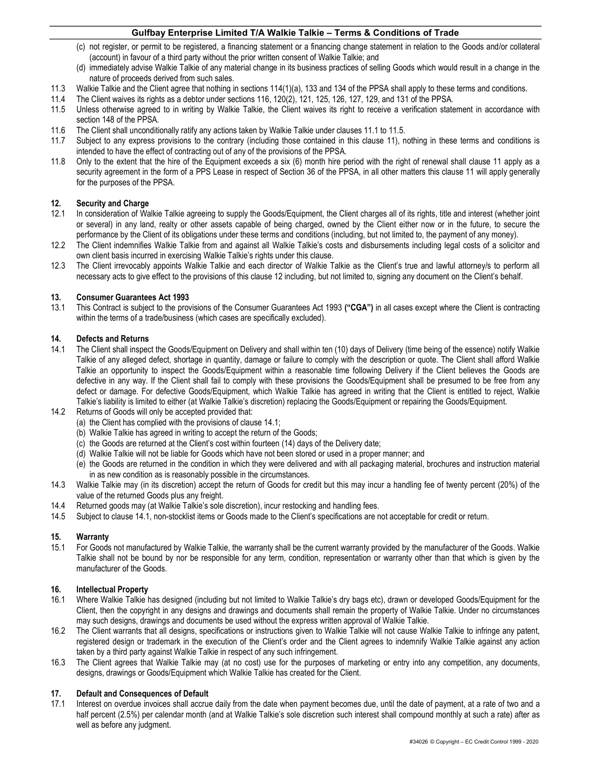- (c) not register, or permit to be registered, a financing statement or a financing change statement in relation to the Goods and/or collateral (account) in favour of a third party without the prior written consent of Walkie Talkie; and
- (d) immediately advise Walkie Talkie of any material change in its business practices of selling Goods which would result in a change in the nature of proceeds derived from such sales.
- 11.3 Walkie Talkie and the Client agree that nothing in sections 114(1)(a), 133 and 134 of the PPSA shall apply to these terms and conditions.
- 11.4 The Client waives its rights as a debtor under sections 116, 120(2), 121, 125, 126, 127, 129, and 131 of the PPSA.
- 11.5 Unless otherwise agreed to in writing by Walkie Talkie, the Client waives its right to receive a verification statement in accordance with section 148 of the PPSA.
- 11.6 The Client shall unconditionally ratify any actions taken by Walkie Talkie under clauses 11.1 to 11.5.
- 11.7 Subject to any express provisions to the contrary (including those contained in this clause 11), nothing in these terms and conditions is intended to have the effect of contracting out of any of the provisions of the PPSA.
- 11.8 Only to the extent that the hire of the Equipment exceeds a six (6) month hire period with the right of renewal shall clause 11 apply as a security agreement in the form of a PPS Lease in respect of Section 36 of the PPSA, in all other matters this clause 11 will apply generally for the purposes of the PPSA.

## 12. Security and Charge

- 12.1 In consideration of Walkie Talkie agreeing to supply the Goods/Equipment, the Client charges all of its rights, title and interest (whether joint or several) in any land, realty or other assets capable of being charged, owned by the Client either now or in the future, to secure the performance by the Client of its obligations under these terms and conditions (including, but not limited to, the payment of any money).
- 12.2 The Client indemnifies Walkie Talkie from and against all Walkie Talkie's costs and disbursements including legal costs of a solicitor and own client basis incurred in exercising Walkie Talkie's rights under this clause.
- 12.3 The Client irrevocably appoints Walkie Talkie and each director of Walkie Talkie as the Client's true and lawful attorney/s to perform all necessary acts to give effect to the provisions of this clause 12 including, but not limited to, signing any document on the Client's behalf.

#### 13. Consumer Guarantees Act 1993

13.1 This Contract is subject to the provisions of the Consumer Guarantees Act 1993 ("CGA") in all cases except where the Client is contracting within the terms of a trade/business (which cases are specifically excluded).

#### 14. Defects and Returns

- 14.1 The Client shall inspect the Goods/Equipment on Delivery and shall within ten (10) days of Delivery (time being of the essence) notify Walkie Talkie of any alleged defect, shortage in quantity, damage or failure to comply with the description or quote. The Client shall afford Walkie Talkie an opportunity to inspect the Goods/Equipment within a reasonable time following Delivery if the Client believes the Goods are defective in any way. If the Client shall fail to comply with these provisions the Goods/Equipment shall be presumed to be free from any defect or damage. For defective Goods/Equipment, which Walkie Talkie has agreed in writing that the Client is entitled to reject, Walkie Talkie's liability is limited to either (at Walkie Talkie's discretion) replacing the Goods/Equipment or repairing the Goods/Equipment.
- 14.2 Returns of Goods will only be accepted provided that:
	- (a) the Client has complied with the provisions of clause 14.1;
	- (b) Walkie Talkie has agreed in writing to accept the return of the Goods;
	- (c) the Goods are returned at the Client's cost within fourteen (14) days of the Delivery date;
	- (d) Walkie Talkie will not be liable for Goods which have not been stored or used in a proper manner; and
	- (e) the Goods are returned in the condition in which they were delivered and with all packaging material, brochures and instruction material in as new condition as is reasonably possible in the circumstances.
- 14.3 Walkie Talkie may (in its discretion) accept the return of Goods for credit but this may incur a handling fee of twenty percent (20%) of the value of the returned Goods plus any freight.
- 14.4 Returned goods may (at Walkie Talkie's sole discretion), incur restocking and handling fees.
- 14.5 Subject to clause 14.1, non-stocklist items or Goods made to the Client's specifications are not acceptable for credit or return.

# 15. Warranty

15.1 For Goods not manufactured by Walkie Talkie, the warranty shall be the current warranty provided by the manufacturer of the Goods. Walkie Talkie shall not be bound by nor be responsible for any term, condition, representation or warranty other than that which is given by the manufacturer of the Goods.

#### 16. Intellectual Property

- 16.1 Where Walkie Talkie has designed (including but not limited to Walkie Talkie's dry bags etc), drawn or developed Goods/Equipment for the Client, then the copyright in any designs and drawings and documents shall remain the property of Walkie Talkie. Under no circumstances may such designs, drawings and documents be used without the express written approval of Walkie Talkie.
- 16.2 The Client warrants that all designs, specifications or instructions given to Walkie Talkie will not cause Walkie Talkie to infringe any patent, registered design or trademark in the execution of the Client's order and the Client agrees to indemnify Walkie Talkie against any action taken by a third party against Walkie Talkie in respect of any such infringement.
- 16.3 The Client agrees that Walkie Talkie may (at no cost) use for the purposes of marketing or entry into any competition, any documents, designs, drawings or Goods/Equipment which Walkie Talkie has created for the Client.

#### 17. Default and Consequences of Default

17.1 Interest on overdue invoices shall accrue daily from the date when payment becomes due, until the date of payment, at a rate of two and a half percent (2.5%) per calendar month (and at Walkie Talkie's sole discretion such interest shall compound monthly at such a rate) after as well as before any judgment.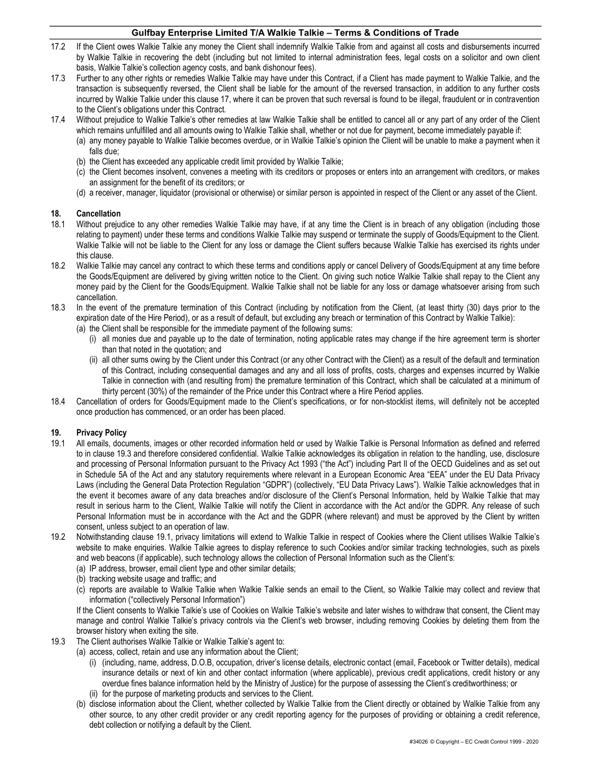- 17.2 If the Client owes Walkie Talkie any money the Client shall indemnify Walkie Talkie from and against all costs and disbursements incurred by Walkie Talkie in recovering the debt (including but not limited to internal administration fees, legal costs on a solicitor and own client basis, Walkie Talkie's collection agency costs, and bank dishonour fees).
- 17.3 Further to any other rights or remedies Walkie Talkie may have under this Contract, if a Client has made payment to Walkie Talkie, and the transaction is subsequently reversed, the Client shall be liable for the amount of the reversed transaction, in addition to any further costs incurred by Walkie Talkie under this clause 17, where it can be proven that such reversal is found to be illegal, fraudulent or in contravention to the Client's obligations under this Contract.
- 17.4 Without prejudice to Walkie Talkie's other remedies at law Walkie Talkie shall be entitled to cancel all or any part of any order of the Client which remains unfulfilled and all amounts owing to Walkie Talkie shall, whether or not due for payment, become immediately payable if:
	- (a) any money payable to Walkie Talkie becomes overdue, or in Walkie Talkie's opinion the Client will be unable to make a payment when it falls due;
	- (b) the Client has exceeded any applicable credit limit provided by Walkie Talkie;
	- (c) the Client becomes insolvent, convenes a meeting with its creditors or proposes or enters into an arrangement with creditors, or makes an assignment for the benefit of its creditors; or
	- (d) a receiver, manager, liquidator (provisional or otherwise) or similar person is appointed in respect of the Client or any asset of the Client.

#### 18. Cancellation

- 18.1 Without prejudice to any other remedies Walkie Talkie may have, if at any time the Client is in breach of any obligation (including those relating to payment) under these terms and conditions Walkie Talkie may suspend or terminate the supply of Goods/Equipment to the Client. Walkie Talkie will not be liable to the Client for any loss or damage the Client suffers because Walkie Talkie has exercised its rights under this clause.
- 18.2 Walkie Talkie may cancel any contract to which these terms and conditions apply or cancel Delivery of Goods/Equipment at any time before the Goods/Equipment are delivered by giving written notice to the Client. On giving such notice Walkie Talkie shall repay to the Client any money paid by the Client for the Goods/Equipment. Walkie Talkie shall not be liable for any loss or damage whatsoever arising from such cancellation.
- 18.3 In the event of the premature termination of this Contract (including by notification from the Client, (at least thirty (30) days prior to the expiration date of the Hire Period), or as a result of default, but excluding any breach or termination of this Contract by Walkie Talkie):
	- (a) the Client shall be responsible for the immediate payment of the following sums:
		- (i) all monies due and payable up to the date of termination, noting applicable rates may change if the hire agreement term is shorter than that noted in the quotation; and
		- (ii) all other sums owing by the Client under this Contract (or any other Contract with the Client) as a result of the default and termination of this Contract, including consequential damages and any and all loss of profits, costs, charges and expenses incurred by Walkie Talkie in connection with (and resulting from) the premature termination of this Contract, which shall be calculated at a minimum of thirty percent (30%) of the remainder of the Price under this Contract where a Hire Period applies.
- 18.4 Cancellation of orders for Goods/Equipment made to the Client's specifications, or for non-stocklist items, will definitely not be accepted once production has commenced, or an order has been placed.

# 19. Privacy Policy

- 19.1 All emails, documents, images or other recorded information held or used by Walkie Talkie is Personal Information as defined and referred to in clause 19.3 and therefore considered confidential. Walkie Talkie acknowledges its obligation in relation to the handling, use, disclosure and processing of Personal Information pursuant to the Privacy Act 1993 ("the Act") including Part II of the OECD Guidelines and as set out in Schedule 5A of the Act and any statutory requirements where relevant in a European Economic Area "EEA" under the EU Data Privacy Laws (including the General Data Protection Regulation "GDPR") (collectively, "EU Data Privacy Laws"). Walkie Talkie acknowledges that in the event it becomes aware of any data breaches and/or disclosure of the Client's Personal Information, held by Walkie Talkie that may result in serious harm to the Client, Walkie Talkie will notify the Client in accordance with the Act and/or the GDPR. Any release of such Personal Information must be in accordance with the Act and the GDPR (where relevant) and must be approved by the Client by written consent, unless subject to an operation of law.
- 19.2 Notwithstanding clause 19.1, privacy limitations will extend to Walkie Talkie in respect of Cookies where the Client utilises Walkie Talkie's website to make enquiries. Walkie Talkie agrees to display reference to such Cookies and/or similar tracking technologies, such as pixels and web beacons (if applicable), such technology allows the collection of Personal Information such as the Client's:
	- (a) IP address, browser, email client type and other similar details;
	- (b) tracking website usage and traffic; and
	- (c) reports are available to Walkie Talkie when Walkie Talkie sends an email to the Client, so Walkie Talkie may collect and review that information ("collectively Personal Information")

If the Client consents to Walkie Talkie's use of Cookies on Walkie Talkie's website and later wishes to withdraw that consent, the Client may manage and control Walkie Talkie's privacy controls via the Client's web browser, including removing Cookies by deleting them from the browser history when exiting the site.

- 19.3 The Client authorises Walkie Talkie or Walkie Talkie's agent to:
	- (a) access, collect, retain and use any information about the Client;
		- (i) (including, name, address, D.O.B, occupation, driver's license details, electronic contact (email, Facebook or Twitter details), medical insurance details or next of kin and other contact information (where applicable), previous credit applications, credit history or any overdue fines balance information held by the Ministry of Justice) for the purpose of assessing the Client's creditworthiness; or
		- (ii) for the purpose of marketing products and services to the Client.
		- (b) disclose information about the Client, whether collected by Walkie Talkie from the Client directly or obtained by Walkie Talkie from any other source, to any other credit provider or any credit reporting agency for the purposes of providing or obtaining a credit reference, debt collection or notifying a default by the Client.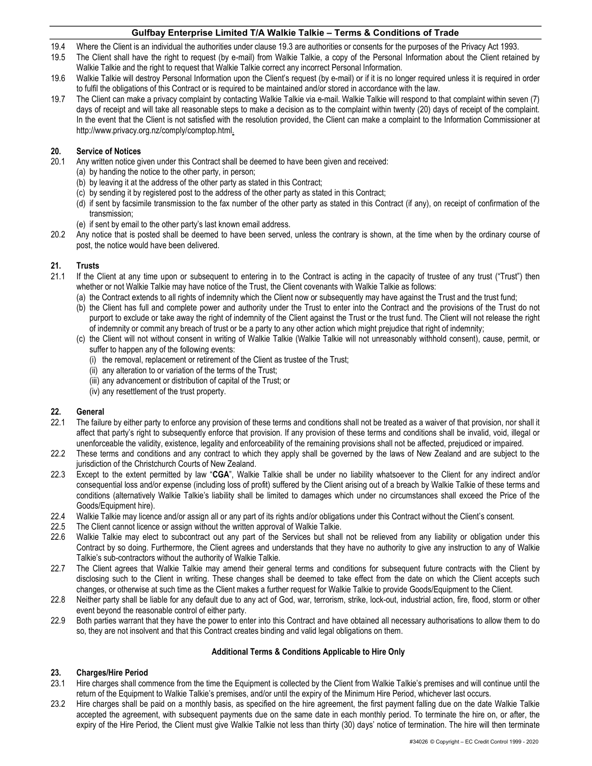- 19.4 Where the Client is an individual the authorities under clause 19.3 are authorities or consents for the purposes of the Privacy Act 1993.
- 19.5 The Client shall have the right to request (by e-mail) from Walkie Talkie, a copy of the Personal Information about the Client retained by Walkie Talkie and the right to request that Walkie Talkie correct any incorrect Personal Information.
- 19.6 Walkie Talkie will destroy Personal Information upon the Client's request (by e-mail) or if it is no longer required unless it is required in order to fulfil the obligations of this Contract or is required to be maintained and/or stored in accordance with the law.
- 19.7 The Client can make a privacy complaint by contacting Walkie Talkie via e-mail. Walkie Talkie will respond to that complaint within seven (7) days of receipt and will take all reasonable steps to make a decision as to the complaint within twenty (20) days of receipt of the complaint. In the event that the Client is not satisfied with the resolution provided, the Client can make a complaint to the Information Commissioner at http://www.privacy.org.nz/comply/comptop.html.

# 20. Service of Notices

- 20.1 Any written notice given under this Contract shall be deemed to have been given and received:
	- (a) by handing the notice to the other party, in person;
	- (b) by leaving it at the address of the other party as stated in this Contract;
	- (c) by sending it by registered post to the address of the other party as stated in this Contract;
	- (d) if sent by facsimile transmission to the fax number of the other party as stated in this Contract (if any), on receipt of confirmation of the transmission;
	- (e) if sent by email to the other party's last known email address.
- 20.2 Any notice that is posted shall be deemed to have been served, unless the contrary is shown, at the time when by the ordinary course of post, the notice would have been delivered.

# 21. Trusts

- 21.1 If the Client at any time upon or subsequent to entering in to the Contract is acting in the capacity of trustee of any trust ("Trust") then whether or not Walkie Talkie may have notice of the Trust, the Client covenants with Walkie Talkie as follows:
	- (a) the Contract extends to all rights of indemnity which the Client now or subsequently may have against the Trust and the trust fund;
	- (b) the Client has full and complete power and authority under the Trust to enter into the Contract and the provisions of the Trust do not purport to exclude or take away the right of indemnity of the Client against the Trust or the trust fund. The Client will not release the right of indemnity or commit any breach of trust or be a party to any other action which might prejudice that right of indemnity;
	- (c) the Client will not without consent in writing of Walkie Talkie (Walkie Talkie will not unreasonably withhold consent), cause, permit, or suffer to happen any of the following events:
		- (i) the removal, replacement or retirement of the Client as trustee of the Trust;
		- (ii) any alteration to or variation of the terms of the Trust;
		- (iii) any advancement or distribution of capital of the Trust; or
		- (iv) any resettlement of the trust property.

# 22. General

- 22.1 The failure by either party to enforce any provision of these terms and conditions shall not be treated as a waiver of that provision, nor shall it affect that party's right to subsequently enforce that provision. If any provision of these terms and conditions shall be invalid, void, illegal or unenforceable the validity, existence, legality and enforceability of the remaining provisions shall not be affected, prejudiced or impaired.
- 22.2 These terms and conditions and any contract to which they apply shall be governed by the laws of New Zealand and are subject to the jurisdiction of the Christchurch Courts of New Zealand.
- 22.3 Except to the extent permitted by law "CGA", Walkie Talkie shall be under no liability whatsoever to the Client for any indirect and/or consequential loss and/or expense (including loss of profit) suffered by the Client arising out of a breach by Walkie Talkie of these terms and conditions (alternatively Walkie Talkie's liability shall be limited to damages which under no circumstances shall exceed the Price of the Goods/Equipment hire).
- 22.4 Walkie Talkie may licence and/or assign all or any part of its rights and/or obligations under this Contract without the Client's consent.
- 22.5 The Client cannot licence or assign without the written approval of Walkie Talkie.
- 22.6 Walkie Talkie may elect to subcontract out any part of the Services but shall not be relieved from any liability or obligation under this Contract by so doing. Furthermore, the Client agrees and understands that they have no authority to give any instruction to any of Walkie Talkie's sub-contractors without the authority of Walkie Talkie.
- 22.7 The Client agrees that Walkie Talkie may amend their general terms and conditions for subsequent future contracts with the Client by disclosing such to the Client in writing. These changes shall be deemed to take effect from the date on which the Client accepts such changes, or otherwise at such time as the Client makes a further request for Walkie Talkie to provide Goods/Equipment to the Client.
- 22.8 Neither party shall be liable for any default due to any act of God, war, terrorism, strike, lock-out, industrial action, fire, flood, storm or other event beyond the reasonable control of either party.
- 22.9 Both parties warrant that they have the power to enter into this Contract and have obtained all necessary authorisations to allow them to do so, they are not insolvent and that this Contract creates binding and valid legal obligations on them.

# Additional Terms & Conditions Applicable to Hire Only

# 23. Charges/Hire Period

- 23.1 Hire charges shall commence from the time the Equipment is collected by the Client from Walkie Talkie's premises and will continue until the return of the Equipment to Walkie Talkie's premises, and/or until the expiry of the Minimum Hire Period, whichever last occurs.
- 23.2 Hire charges shall be paid on a monthly basis, as specified on the hire agreement, the first payment falling due on the date Walkie Talkie accepted the agreement, with subsequent payments due on the same date in each monthly period. To terminate the hire on, or after, the expiry of the Hire Period, the Client must give Walkie Talkie not less than thirty (30) days' notice of termination. The hire will then terminate